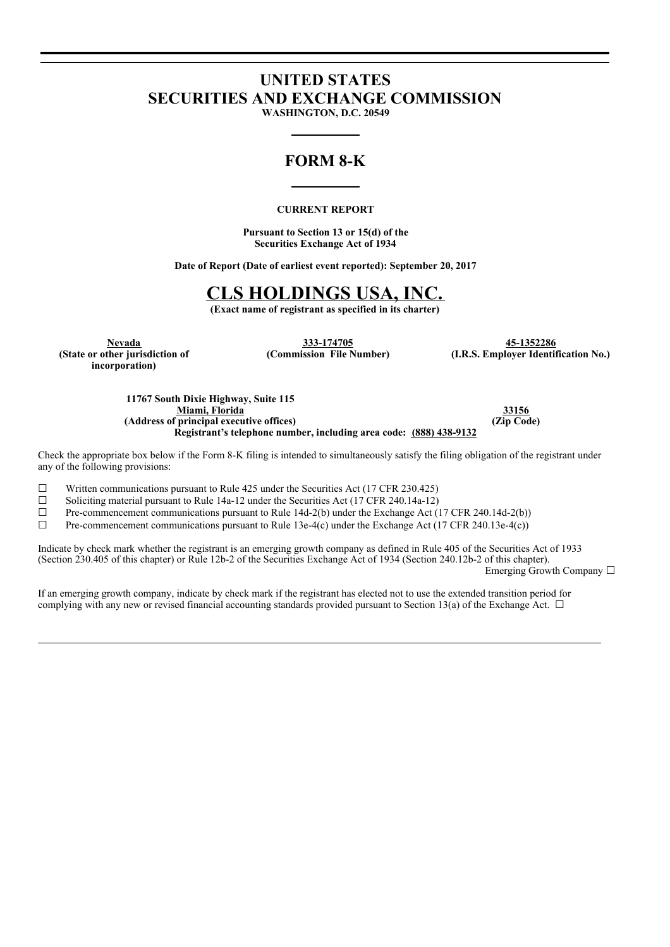# **UNITED STATES SECURITIES AND EXCHANGE COMMISSION**

**WASHINGTON, D.C. 20549**

# **FORM 8-K**

# **CURRENT REPORT**

**Pursuant to Section 13 or 15(d) of the Securities Exchange Act of 1934**

**Date of Report (Date of earliest event reported): September 20, 2017**

# **CLS HOLDINGS USA, INC.**

**(Exact name of registrant as specified in its charter)**

**(State or other jurisdiction of incorporation)**

**Nevada 333-174705 45-1352286**

**(Commission File Number) (I.R.S. Employer Identification No.)**

**11767 South Dixie Highway, Suite 115 Miami, Florida 33156 (Address of principal executive offices) (Zip Code) Registrant's telephone number, including area code: (888) 438-9132**

Check the appropriate box below if the Form 8-K filing is intended to simultaneously satisfy the filing obligation of the registrant under any of the following provisions:

 $\Box$  Written communications pursuant to Rule 425 under the Securities Act (17 CFR 230.425)

□ Solicitying material pursuing to Rule 14a-12 under the Securities Act (17 CFR 240.14a-12) <math display="inline">\Box</math> Pre-component communications pursuit to Rule 14d-2(b) under the Exchange Act (17 CFR 240.14a-12)

Pre-commencement communications pursuant to Rule 14d-2(b) under the Exchange Act (17 CFR 240.14d-2(b))

☐ Pre-commencement communications pursuant to Rule 13e-4(c) under the Exchange Act (17 CFR 240.13e-4(c))

Indicate by check mark whether the registrant is an emerging growth company as defined in Rule 405 of the Securities Act of 1933 (Section 230.405 of this chapter) or Rule 12b-2 of the Securities Exchange Act of 1934 (Section 240.12b-2 of this chapter). Emerging Growth Company ☐

If an emerging growth company, indicate by check mark if the registrant has elected not to use the extended transition period for complying with any new or revised financial accounting standards provided pursuant to Section 13(a) of the Exchange Act.  $\Box$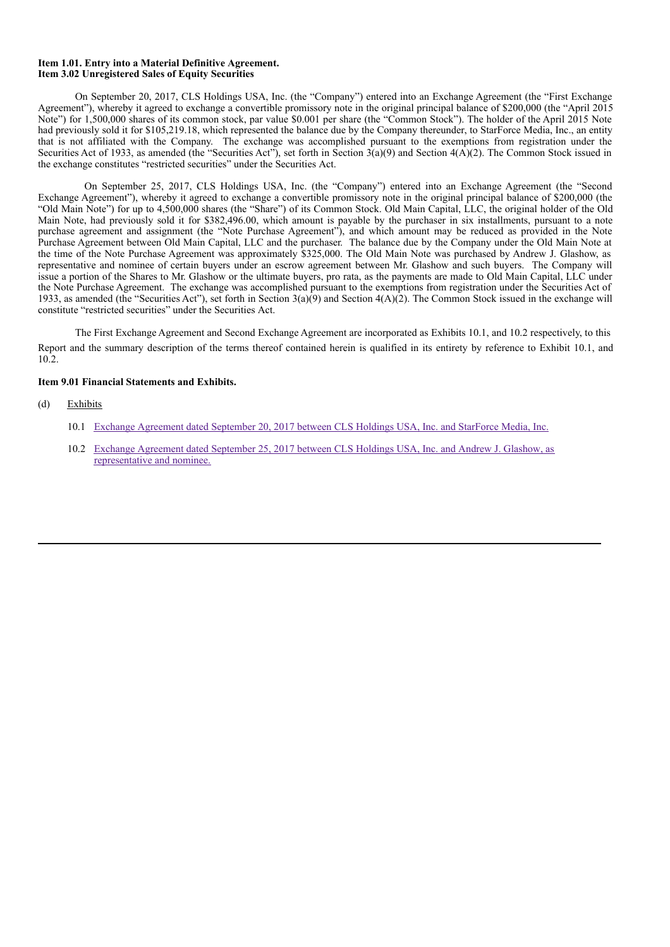#### **Item 1.01. Entry into a Material Definitive Agreement. Item 3.02 Unregistered Sales of Equity Securities**

On September 20, 2017, CLS Holdings USA, Inc. (the "Company") entered into an Exchange Agreement (the "First Exchange Agreement"), whereby it agreed to exchange a convertible promissory note in the original principal balance of \$200,000 (the "April 2015 Note") for 1,500,000 shares of its common stock, par value \$0.001 per share (the "Common Stock"). The holder of the April 2015 Note had previously sold it for \$105,219.18, which represented the balance due by the Company thereunder, to StarForce Media, Inc., an entity that is not affiliated with the Company. The exchange was accomplished pursuant to the exemptions from registration under the Securities Act of 1933, as amended (the "Securities Act"), set forth in Section 3(a)(9) and Section 4(A)(2). The Common Stock issued in the exchange constitutes "restricted securities" under the Securities Act.

On September 25, 2017, CLS Holdings USA, Inc. (the "Company") entered into an Exchange Agreement (the "Second Exchange Agreement"), whereby it agreed to exchange a convertible promissory note in the original principal balance of \$200,000 (the "Old Main Note") for up to 4,500,000 shares (the "Share") of its Common Stock. Old Main Capital, LLC, the original holder of the Old Main Note, had previously sold it for \$382,496.00, which amount is payable by the purchaser in six installments, pursuant to a note purchase agreement and assignment (the "Note Purchase Agreement"), and which amount may be reduced as provided in the Note Purchase Agreement between Old Main Capital, LLC and the purchaser. The balance due by the Company under the Old Main Note at the time of the Note Purchase Agreement was approximately \$325,000. The Old Main Note was purchased by Andrew J. Glashow, as representative and nominee of certain buyers under an escrow agreement between Mr. Glashow and such buyers. The Company will issue a portion of the Shares to Mr. Glashow or the ultimate buyers, pro rata, as the payments are made to Old Main Capital, LLC under the Note Purchase Agreement. The exchange was accomplished pursuant to the exemptions from registration under the Securities Act of 1933, as amended (the "Securities Act"), set forth in Section  $3(a)(9)$  and Section  $4(A)(2)$ . The Common Stock issued in the exchange will constitute "restricted securities" under the Securities Act.

The First Exchange Agreement and Second Exchange Agreement are incorporated as Exhibits 10.1, and 10.2 respectively, to this Report and the summary description of the terms thereof contained herein is qualified in its entirety by reference to Exhibit 10.1, and 10.2.

#### **Item 9.01 Financial Statements and Exhibits.**

- (d) Exhibits
	- 10.1 Exchange Agreement dated September 20, 2017 between CLS Holdings USA, Inc. and StarForce Media, Inc.
	- 10.2 Exchange Agreement dated September 25, 2017 between CLS Holdings USA, Inc. and Andrew J. Glashow, as representative and nominee.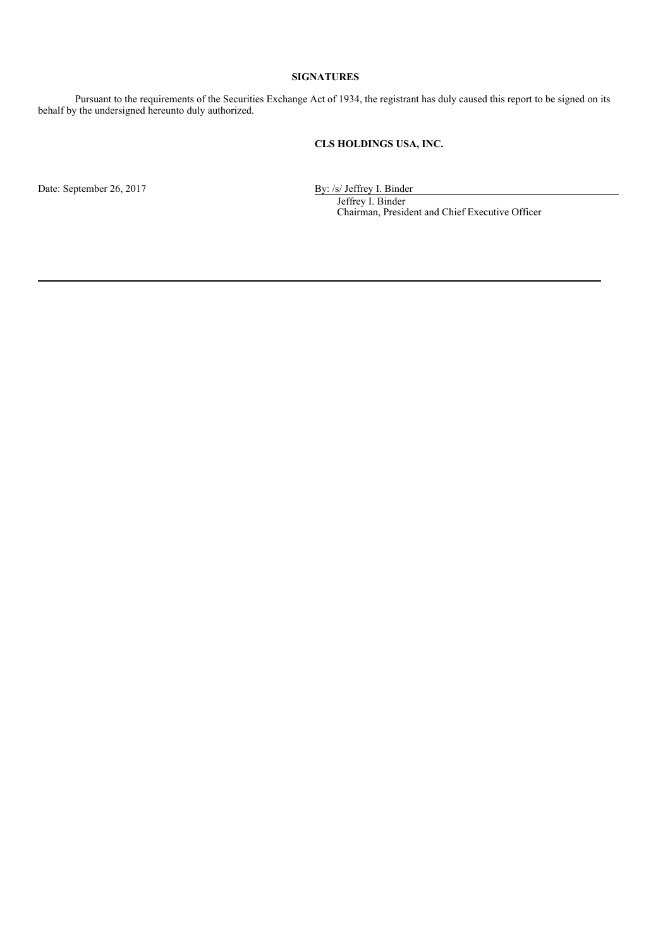### **SIGNATURES**

Pursuant to the requirements of the Securities Exchange Act of 1934, the registrant has duly caused this report to be signed on its behalf by the undersigned hereunto duly authorized.

# **CLS HOLDINGS USA, INC.**

Date: September 26, 2017 By: /s/ Jeffrey I. Binder

Jeffrey I. Binder Chairman, President and Chief Executive Officer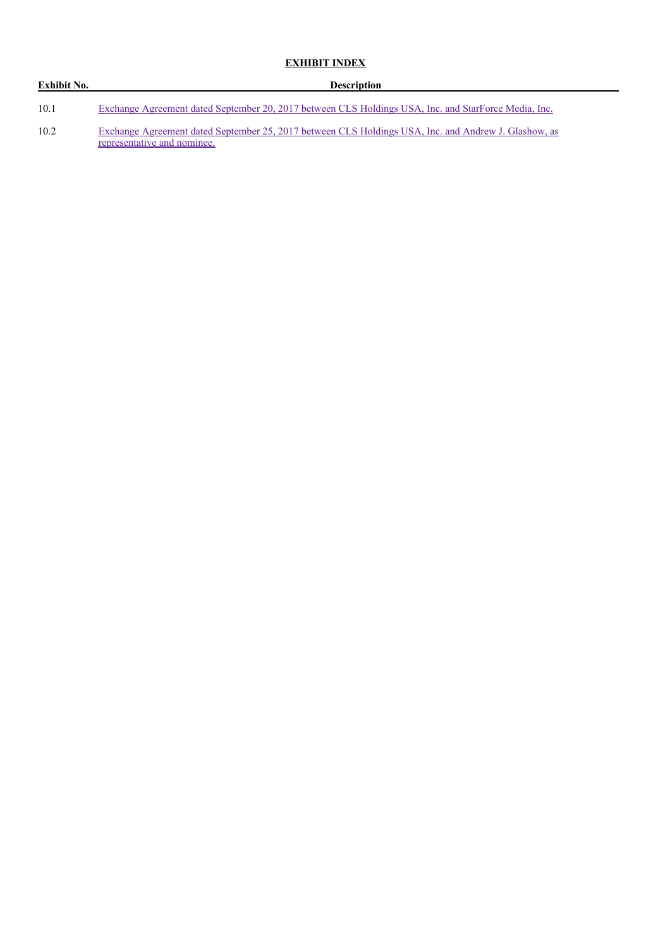# **EXHIBIT INDEX**

| Exhibit No. | <b>Description</b>                                                                                                                  |  |  |
|-------------|-------------------------------------------------------------------------------------------------------------------------------------|--|--|
| 10.1        | Exchange Agreement dated September 20, 2017 between CLS Holdings USA, Inc. and StarForce Media, Inc.                                |  |  |
| 10.2        | Exchange Agreement dated September 25, 2017 between CLS Holdings USA, Inc. and Andrew J. Glashow, as<br>representative and nominee. |  |  |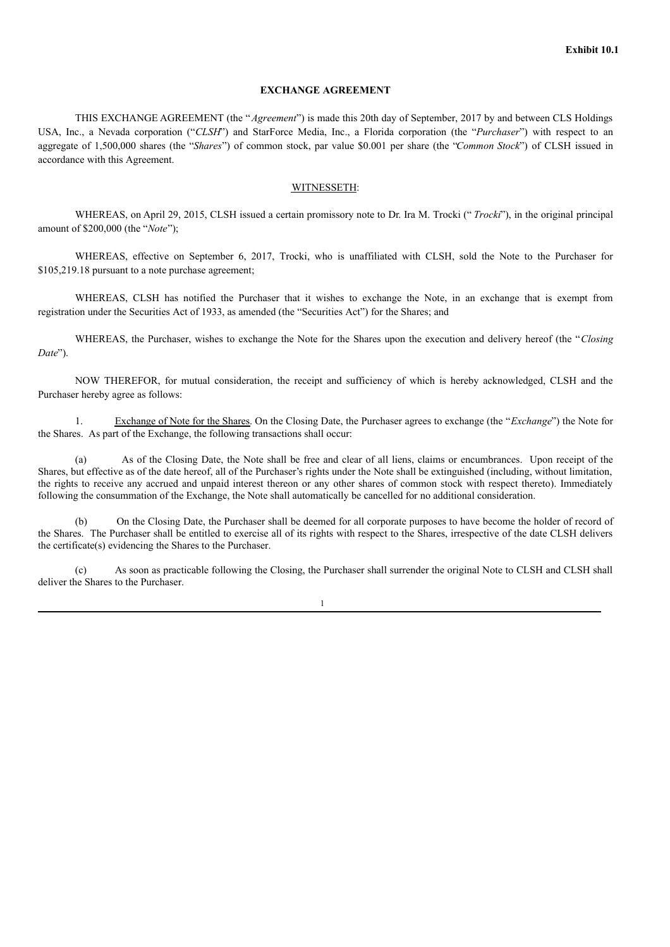#### **EXCHANGE AGREEMENT**

THIS EXCHANGE AGREEMENT (the "*Agreement*") is made this 20th day of September, 2017 by and between CLS Holdings USA, Inc., a Nevada corporation ("*CLSH*") and StarForce Media, Inc., a Florida corporation (the "*Purchaser*") with respect to an aggregate of 1,500,000 shares (the "*Shares*") of common stock, par value \$0.001 per share (the "*Common Stock*") of CLSH issued in accordance with this Agreement.

#### WITNESSETH:

WHEREAS, on April 29, 2015, CLSH issued a certain promissory note to Dr. Ira M. Trocki (" *Trocki*"), in the original principal amount of \$200,000 (the "*Note*");

WHEREAS, effective on September 6, 2017, Trocki, who is unaffiliated with CLSH, sold the Note to the Purchaser for \$105,219.18 pursuant to a note purchase agreement;

WHEREAS, CLSH has notified the Purchaser that it wishes to exchange the Note, in an exchange that is exempt from registration under the Securities Act of 1933, as amended (the "Securities Act") for the Shares; and

WHEREAS, the Purchaser, wishes to exchange the Note for the Shares upon the execution and delivery hereof (the "*Closing Date*").

NOW THEREFOR, for mutual consideration, the receipt and sufficiency of which is hereby acknowledged, CLSH and the Purchaser hereby agree as follows:

1. Exchange of Note for the Shares. On the Closing Date, the Purchaser agrees to exchange (the "*Exchange*") the Note for the Shares. As part of the Exchange, the following transactions shall occur:

(a) As of the Closing Date, the Note shall be free and clear of all liens, claims or encumbrances. Upon receipt of the Shares, but effective as of the date hereof, all of the Purchaser's rights under the Note shall be extinguished (including, without limitation, the rights to receive any accrued and unpaid interest thereon or any other shares of common stock with respect thereto). Immediately following the consummation of the Exchange, the Note shall automatically be cancelled for no additional consideration.

(b) On the Closing Date, the Purchaser shall be deemed for all corporate purposes to have become the holder of record of the Shares. The Purchaser shall be entitled to exercise all of its rights with respect to the Shares, irrespective of the date CLSH delivers the certificate(s) evidencing the Shares to the Purchaser.

(c) As soon as practicable following the Closing, the Purchaser shall surrender the original Note to CLSH and CLSH shall deliver the Shares to the Purchaser.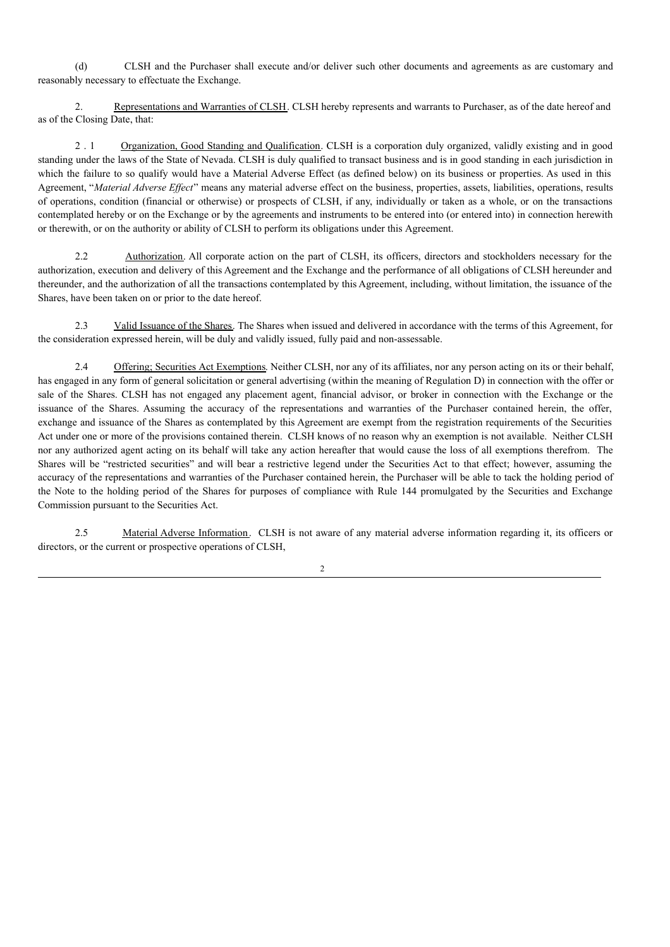(d) CLSH and the Purchaser shall execute and/or deliver such other documents and agreements as are customary and reasonably necessary to effectuate the Exchange.

2. Representations and Warranties of CLSH. CLSH hereby represents and warrants to Purchaser, as of the date hereof and as of the Closing Date, that:

2 . 1 Organization, Good Standing and Qualification. CLSH is a corporation duly organized, validly existing and in good standing under the laws of the State of Nevada. CLSH is duly qualified to transact business and is in good standing in each jurisdiction in which the failure to so qualify would have a Material Adverse Effect (as defined below) on its business or properties. As used in this Agreement, "Material Adverse Effect" means any material adverse effect on the business, properties, assets, liabilities, operations, results of operations, condition (financial or otherwise) or prospects of CLSH, if any, individually or taken as a whole, or on the transactions contemplated hereby or on the Exchange or by the agreements and instruments to be entered into (or entered into) in connection herewith or therewith, or on the authority or ability of CLSH to perform its obligations under this Agreement.

2.2 Authorization. All corporate action on the part of CLSH, its officers, directors and stockholders necessary for the authorization, execution and delivery of this Agreement and the Exchange and the performance of all obligations of CLSH hereunder and thereunder, and the authorization of all the transactions contemplated by this Agreement, including, without limitation, the issuance of the Shares, have been taken on or prior to the date hereof.

2.3 Valid Issuance of the Shares. The Shares when issued and delivered in accordance with the terms of this Agreement, for the consideration expressed herein, will be duly and validly issued, fully paid and non-assessable.

2.4 Offering; Securities Act Exemptions. Neither CLSH, nor any of its affiliates, nor any person acting on its or their behalf, has engaged in any form of general solicitation or general advertising (within the meaning of Regulation D) in connection with the offer or sale of the Shares. CLSH has not engaged any placement agent, financial advisor, or broker in connection with the Exchange or the issuance of the Shares. Assuming the accuracy of the representations and warranties of the Purchaser contained herein, the offer, exchange and issuance of the Shares as contemplated by this Agreement are exempt from the registration requirements of the Securities Act under one or more of the provisions contained therein. CLSH knows of no reason why an exemption is not available. Neither CLSH nor any authorized agent acting on its behalf will take any action hereafter that would cause the loss of all exemptions therefrom. The Shares will be "restricted securities" and will bear a restrictive legend under the Securities Act to that effect; however, assuming the accuracy of the representations and warranties of the Purchaser contained herein, the Purchaser will be able to tack the holding period of the Note to the holding period of the Shares for purposes of compliance with Rule 144 promulgated by the Securities and Exchange Commission pursuant to the Securities Act.

2.5 Material Adverse Information. CLSH is not aware of any material adverse information regarding it, its officers or directors, or the current or prospective operations of CLSH,

 $\mathcal{L}$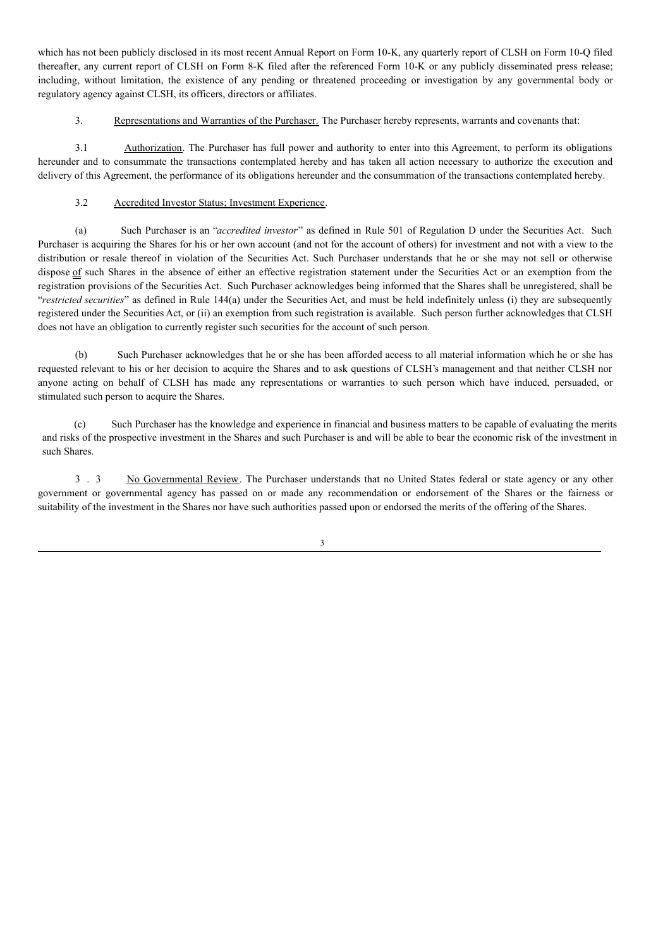which has not been publicly disclosed in its most recent Annual Report on Form 10-K, any quarterly report of CLSH on Form 10-Q filed thereafter, any current report of CLSH on Form 8-K filed after the referenced Form 10-K or any publicly disseminated press release; including, without limitation, the existence of any pending or threatened proceeding or investigation by any governmental body or regulatory agency against CLSH, its officers, directors or affiliates.

3. Representations and Warranties of the Purchaser. The Purchaser hereby represents, warrants and covenants that:

3.1 Authorization. The Purchaser has full power and authority to enter into this Agreement, to perform its obligations hereunder and to consummate the transactions contemplated hereby and has taken all action necessary to authorize the execution and delivery of this Agreement, the performance of its obligations hereunder and the consummation of the transactions contemplated hereby.

# 3.2 Accredited Investor Status; Investment Experience.

(a) Such Purchaser is an "*accredited investor*" as defined in Rule 501 of Regulation D under the Securities Act. Such Purchaser is acquiring the Shares for his or her own account (and not for the account of others) for investment and not with a view to the distribution or resale thereof in violation of the Securities Act. Such Purchaser understands that he or she may not sell or otherwise dispose of such Shares in the absence of either an effective registration statement under the Securities Act or an exemption from the registration provisions of the Securities Act. Such Purchaser acknowledges being informed that the Shares shall be unregistered, shall be "*restricted securities*" as defined in Rule 144(a) under the Securities Act, and must be held indefinitely unless (i) they are subsequently registered under the Securities Act, or (ii) an exemption from such registration is available. Such person further acknowledges that CLSH does not have an obligation to currently register such securities for the account of such person.

(b) Such Purchaser acknowledges that he or she has been afforded access to all material information which he or she has requested relevant to his or her decision to acquire the Shares and to ask questions of CLSH's management and that neither CLSH nor anyone acting on behalf of CLSH has made any representations or warranties to such person which have induced, persuaded, or stimulated such person to acquire the Shares.

(c) Such Purchaser has the knowledge and experience in financial and business matters to be capable of evaluating the merits and risks of the prospective investment in the Shares and such Purchaser is and will be able to bear the economic risk of the investment in such Shares.

3 . 3 No Governmental Review. The Purchaser understands that no United States federal or state agency or any other government or governmental agency has passed on or made any recommendation or endorsement of the Shares or the fairness or suitability of the investment in the Shares nor have such authorities passed upon or endorsed the merits of the offering of the Shares.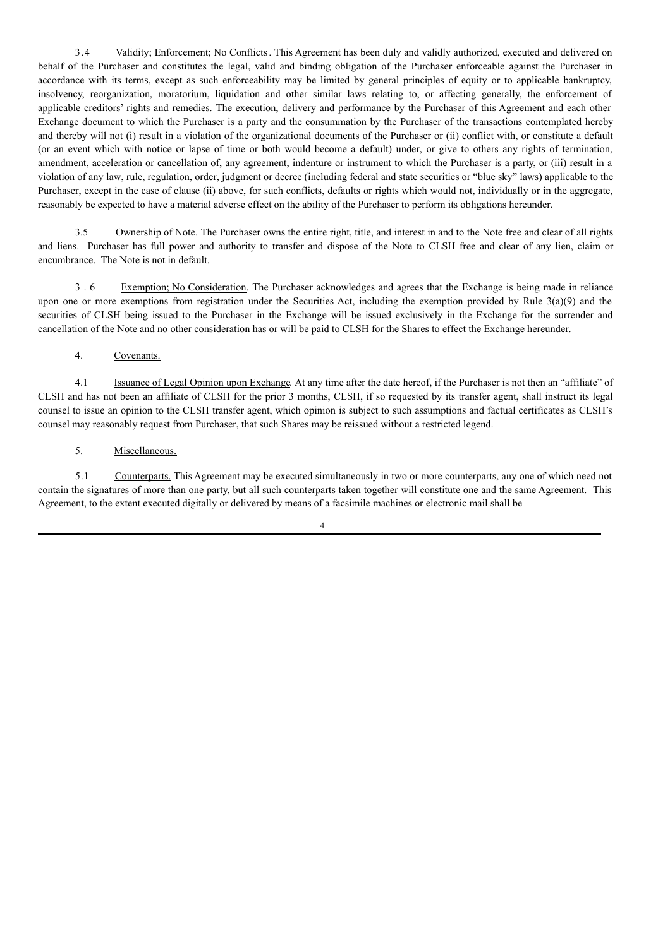3.4 Validity; Enforcement; No Conflicts. This Agreement has been duly and validly authorized, executed and delivered on behalf of the Purchaser and constitutes the legal, valid and binding obligation of the Purchaser enforceable against the Purchaser in accordance with its terms, except as such enforceability may be limited by general principles of equity or to applicable bankruptcy, insolvency, reorganization, moratorium, liquidation and other similar laws relating to, or affecting generally, the enforcement of applicable creditors' rights and remedies. The execution, delivery and performance by the Purchaser of this Agreement and each other Exchange document to which the Purchaser is a party and the consummation by the Purchaser of the transactions contemplated hereby and thereby will not (i) result in a violation of the organizational documents of the Purchaser or (ii) conflict with, or constitute a default (or an event which with notice or lapse of time or both would become a default) under, or give to others any rights of termination, amendment, acceleration or cancellation of, any agreement, indenture or instrument to which the Purchaser is a party, or (iii) result in a violation of any law, rule, regulation, order, judgment or decree (including federal and state securities or "blue sky" laws) applicable to the Purchaser, except in the case of clause (ii) above, for such conflicts, defaults or rights which would not, individually or in the aggregate, reasonably be expected to have a material adverse effect on the ability of the Purchaser to perform its obligations hereunder.

3.5 Ownership of Note. The Purchaser owns the entire right, title, and interest in and to the Note free and clear of all rights and liens. Purchaser has full power and authority to transfer and dispose of the Note to CLSH free and clear of any lien, claim or encumbrance. The Note is not in default.

3 . 6 Exemption; No Consideration. The Purchaser acknowledges and agrees that the Exchange is being made in reliance upon one or more exemptions from registration under the Securities Act, including the exemption provided by Rule 3(a)(9) and the securities of CLSH being issued to the Purchaser in the Exchange will be issued exclusively in the Exchange for the surrender and cancellation of the Note and no other consideration has or will be paid to CLSH for the Shares to effect the Exchange hereunder.

## 4. Covenants.

4.1 Issuance of Legal Opinion upon Exchange. At any time after the date hereof, if the Purchaser is not then an "affiliate" of CLSH and has not been an affiliate of CLSH for the prior 3 months, CLSH, if so requested by its transfer agent, shall instruct its legal counsel to issue an opinion to the CLSH transfer agent, which opinion is subject to such assumptions and factual certificates as CLSH's counsel may reasonably request from Purchaser, that such Shares may be reissued without a restricted legend.

## 5. Miscellaneous.

5.1 Counterparts. This Agreement may be executed simultaneously in two or more counterparts, any one of which need not contain the signatures of more than one party, but all such counterparts taken together will constitute one and the same Agreement. This Agreement, to the extent executed digitally or delivered by means of a facsimile machines or electronic mail shall be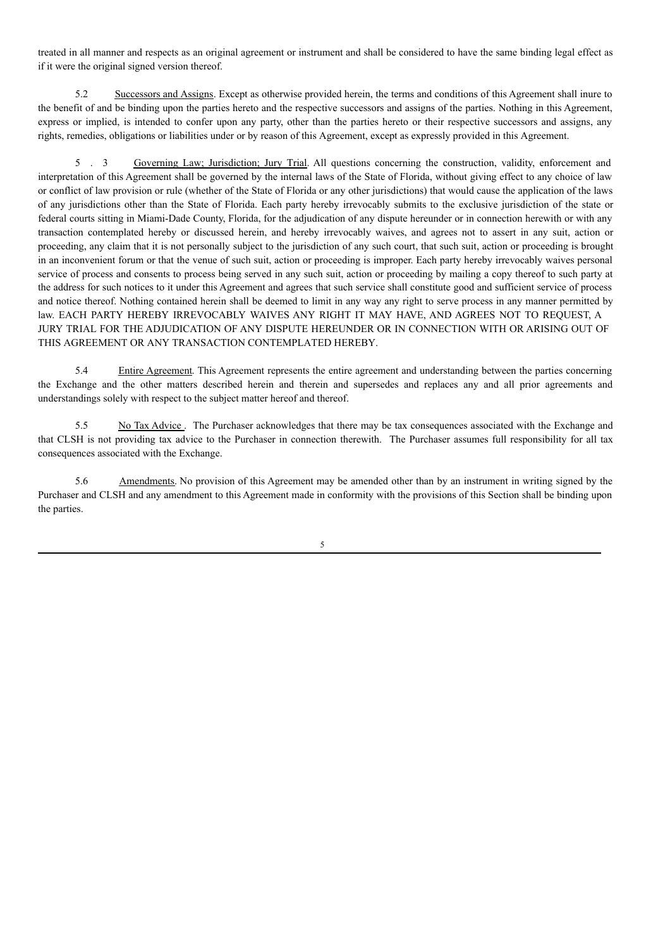treated in all manner and respects as an original agreement or instrument and shall be considered to have the same binding legal effect as if it were the original signed version thereof.

5.2 Successors and Assigns. Except as otherwise provided herein, the terms and conditions of this Agreement shall inure to the benefit of and be binding upon the parties hereto and the respective successors and assigns of the parties. Nothing in this Agreement, express or implied, is intended to confer upon any party, other than the parties hereto or their respective successors and assigns, any rights, remedies, obligations or liabilities under or by reason of this Agreement, except as expressly provided in this Agreement.

5 . 3 Governing Law; Jurisdiction; Jury Trial. All questions concerning the construction, validity, enforcement and interpretation of this Agreement shall be governed by the internal laws of the State of Florida, without giving effect to any choice of law or conflict of law provision or rule (whether of the State of Florida or any other jurisdictions) that would cause the application of the laws of any jurisdictions other than the State of Florida. Each party hereby irrevocably submits to the exclusive jurisdiction of the state or federal courts sitting in Miami-Dade County, Florida, for the adjudication of any dispute hereunder or in connection herewith or with any transaction contemplated hereby or discussed herein, and hereby irrevocably waives, and agrees not to assert in any suit, action or proceeding, any claim that it is not personally subject to the jurisdiction of any such court, that such suit, action or proceeding is brought in an inconvenient forum or that the venue of such suit, action or proceeding is improper. Each party hereby irrevocably waives personal service of process and consents to process being served in any such suit, action or proceeding by mailing a copy thereof to such party at the address for such notices to it under this Agreement and agrees that such service shall constitute good and sufficient service of process and notice thereof. Nothing contained herein shall be deemed to limit in any way any right to serve process in any manner permitted by law. EACH PARTY HEREBY IRREVOCABLY WAIVES ANY RIGHT IT MAY HAVE, AND AGREES NOT TO REQUEST, A JURY TRIAL FOR THE ADJUDICATION OF ANY DISPUTE HEREUNDER OR IN CONNECTION WITH OR ARISING OUT OF THIS AGREEMENT OR ANY TRANSACTION CONTEMPLATED HEREBY.

5.4 Entire Agreement. This Agreement represents the entire agreement and understanding between the parties concerning the Exchange and the other matters described herein and therein and supersedes and replaces any and all prior agreements and understandings solely with respect to the subject matter hereof and thereof.

5.5 No Tax Advice . The Purchaser acknowledges that there may be tax consequences associated with the Exchange and that CLSH is not providing tax advice to the Purchaser in connection therewith. The Purchaser assumes full responsibility for all tax consequences associated with the Exchange.

5.6 Amendments. No provision of this Agreement may be amended other than by an instrument in writing signed by the Purchaser and CLSH and any amendment to this Agreement made in conformity with the provisions of this Section shall be binding upon the parties.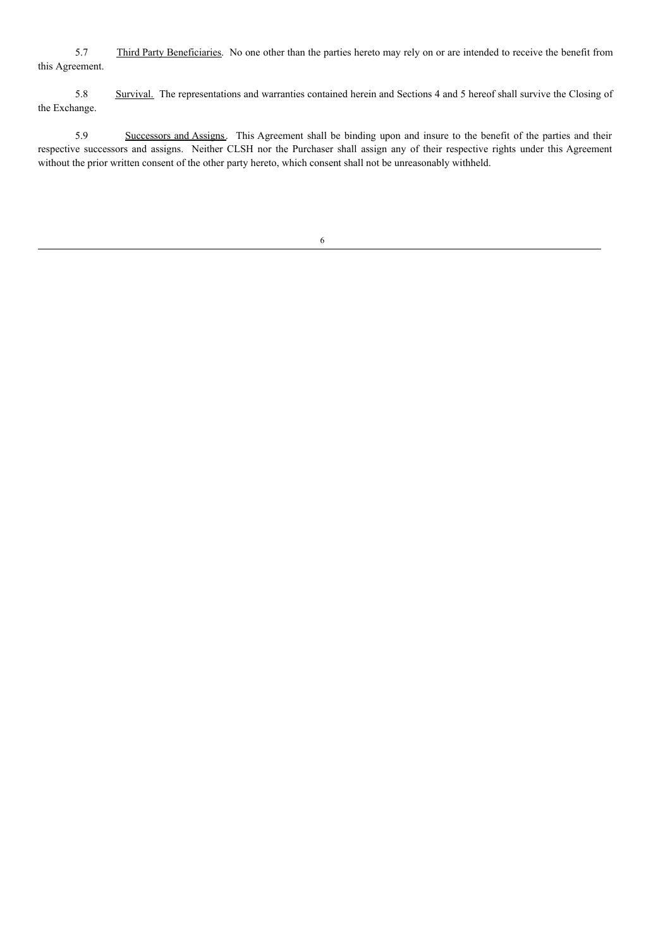5.7 Third Party Beneficiaries. No one other than the parties hereto may rely on or are intended to receive the benefit from this Agreement.

5.8 Survival. The representations and warranties contained herein and Sections 4 and 5 hereof shall survive the Closing of the Exchange.

5.9 Successors and Assigns. This Agreement shall be binding upon and insure to the benefit of the parties and their respective successors and assigns. Neither CLSH nor the Purchaser shall assign any of their respective rights under this Agreement without the prior written consent of the other party hereto, which consent shall not be unreasonably withheld.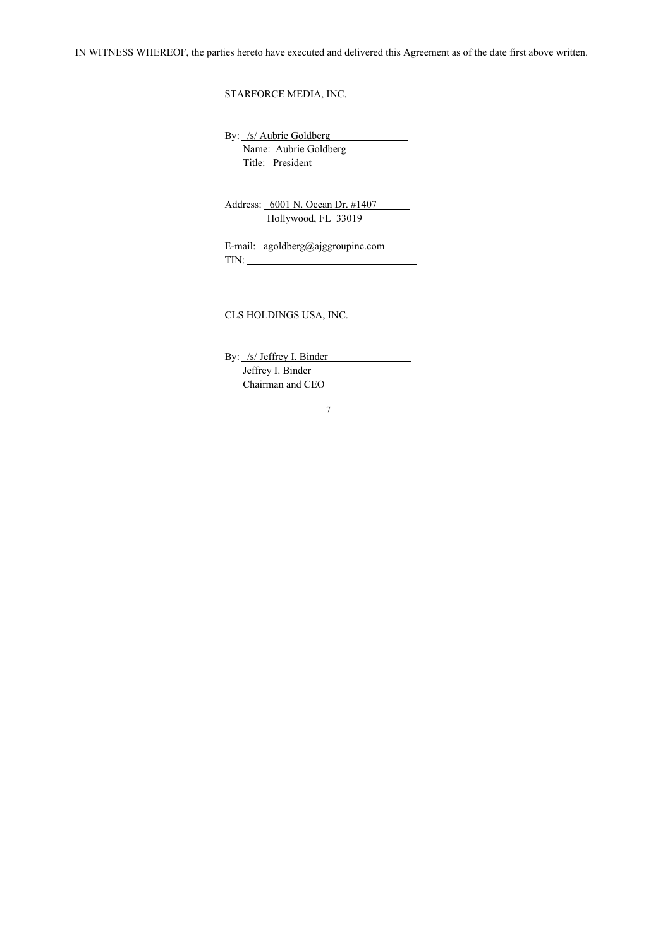STARFORCE MEDIA, INC.

By: /s/ Aubrie Goldberg Name: Aubrie Goldberg Title: President

Address: 6001 N. Ocean Dr. #1407 Hollywood, FL 33019  $\mathcal{L}_{\text{max}}$  .

E-mail: agoldberg@ajggroupinc.com TIN:

CLS HOLDINGS USA, INC.

By: /s/ Jeffrey I. Binder Jeffrey I. Binder Chairman and CEO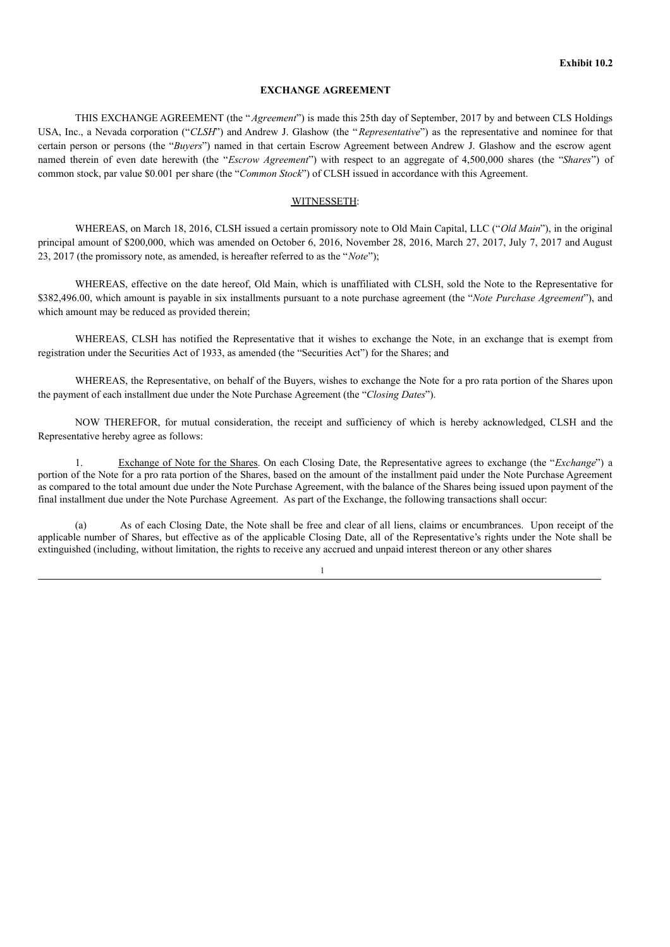#### **EXCHANGE AGREEMENT**

THIS EXCHANGE AGREEMENT (the "*Agreement*") is made this 25th day of September, 2017 by and between CLS Holdings USA, Inc., a Nevada corporation ("*CLSH*") and Andrew J. Glashow (the "*Representative*") as the representative and nominee for that certain person or persons (the "*Buyers*") named in that certain Escrow Agreement between Andrew J. Glashow and the escrow agent named therein of even date herewith (the "*Escrow Agreement*") with respect to an aggregate of 4,500,000 shares (the "*Shares*") of common stock, par value \$0.001 per share (the "*Common Stock*") of CLSH issued in accordance with this Agreement.

#### WITNESSETH:

WHEREAS, on March 18, 2016, CLSH issued a certain promissory note to Old Main Capital, LLC ("*Old Main*"), in the original principal amount of \$200,000, which was amended on October 6, 2016, November 28, 2016, March 27, 2017, July 7, 2017 and August 23, 2017 (the promissory note, as amended, is hereafter referred to as the "*Note*");

WHEREAS, effective on the date hereof, Old Main, which is unaffiliated with CLSH, sold the Note to the Representative for \$382,496.00, which amount is payable in six installments pursuant to a note purchase agreement (the "*Note Purchase Agreement*"), and which amount may be reduced as provided therein;

WHEREAS, CLSH has notified the Representative that it wishes to exchange the Note, in an exchange that is exempt from registration under the Securities Act of 1933, as amended (the "Securities Act") for the Shares; and

WHEREAS, the Representative, on behalf of the Buyers, wishes to exchange the Note for a pro rata portion of the Shares upon the payment of each installment due under the Note Purchase Agreement (the "*Closing Dates*").

NOW THEREFOR, for mutual consideration, the receipt and sufficiency of which is hereby acknowledged, CLSH and the Representative hereby agree as follows:

1. Exchange of Note for the Shares. On each Closing Date, the Representative agrees to exchange (the "*Exchange*") a portion of the Note for a pro rata portion of the Shares, based on the amount of the installment paid under the Note Purchase Agreement as compared to the total amount due under the Note Purchase Agreement, with the balance of the Shares being issued upon payment of the final installment due under the Note Purchase Agreement. As part of the Exchange, the following transactions shall occur:

(a) As of each Closing Date, the Note shall be free and clear of all liens, claims or encumbrances. Upon receipt of the applicable number of Shares, but effective as of the applicable Closing Date, all of the Representative's rights under the Note shall be extinguished (including, without limitation, the rights to receive any accrued and unpaid interest thereon or any other shares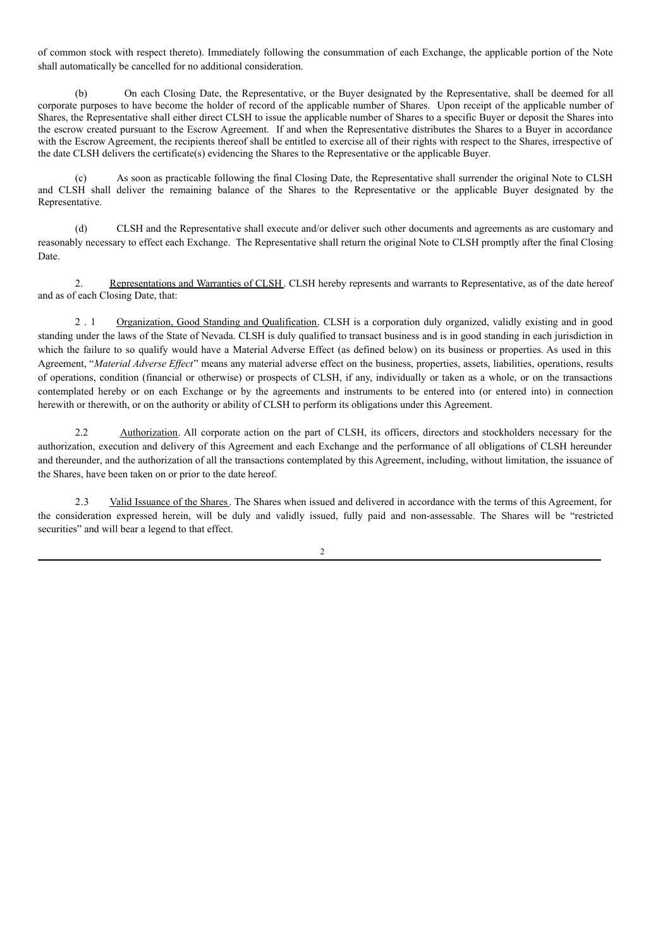of common stock with respect thereto). Immediately following the consummation of each Exchange, the applicable portion of the Note shall automatically be cancelled for no additional consideration.

(b) On each Closing Date, the Representative, or the Buyer designated by the Representative, shall be deemed for all corporate purposes to have become the holder of record of the applicable number of Shares. Upon receipt of the applicable number of Shares, the Representative shall either direct CLSH to issue the applicable number of Shares to a specific Buyer or deposit the Shares into the escrow created pursuant to the Escrow Agreement. If and when the Representative distributes the Shares to a Buyer in accordance with the Escrow Agreement, the recipients thereof shall be entitled to exercise all of their rights with respect to the Shares, irrespective of the date CLSH delivers the certificate(s) evidencing the Shares to the Representative or the applicable Buyer.

(c) As soon as practicable following the final Closing Date, the Representative shall surrender the original Note to CLSH and CLSH shall deliver the remaining balance of the Shares to the Representative or the applicable Buyer designated by the Representative.

(d) CLSH and the Representative shall execute and/or deliver such other documents and agreements as are customary and reasonably necessary to effect each Exchange. The Representative shall return the original Note to CLSH promptly after the final Closing Date.

2. Representations and Warranties of CLSH. CLSH hereby represents and warrants to Representative, as of the date hereof and as of each Closing Date, that:

2 . 1 Organization, Good Standing and Qualification. CLSH is a corporation duly organized, validly existing and in good standing under the laws of the State of Nevada. CLSH is duly qualified to transact business and is in good standing in each jurisdiction in which the failure to so qualify would have a Material Adverse Effect (as defined below) on its business or properties. As used in this Agreement, "Material Adverse Effect" means any material adverse effect on the business, properties, assets, liabilities, operations, results of operations, condition (financial or otherwise) or prospects of CLSH, if any, individually or taken as a whole, or on the transactions contemplated hereby or on each Exchange or by the agreements and instruments to be entered into (or entered into) in connection herewith or therewith, or on the authority or ability of CLSH to perform its obligations under this Agreement.

2.2 Authorization. All corporate action on the part of CLSH, its officers, directors and stockholders necessary for the authorization, execution and delivery of this Agreement and each Exchange and the performance of all obligations of CLSH hereunder and thereunder, and the authorization of all the transactions contemplated by this Agreement, including, without limitation, the issuance of the Shares, have been taken on or prior to the date hereof.

2.3 Valid Issuance of the Shares. The Shares when issued and delivered in accordance with the terms of this Agreement, for the consideration expressed herein, will be duly and validly issued, fully paid and non-assessable. The Shares will be "restricted securities" and will bear a legend to that effect.

 $\gamma$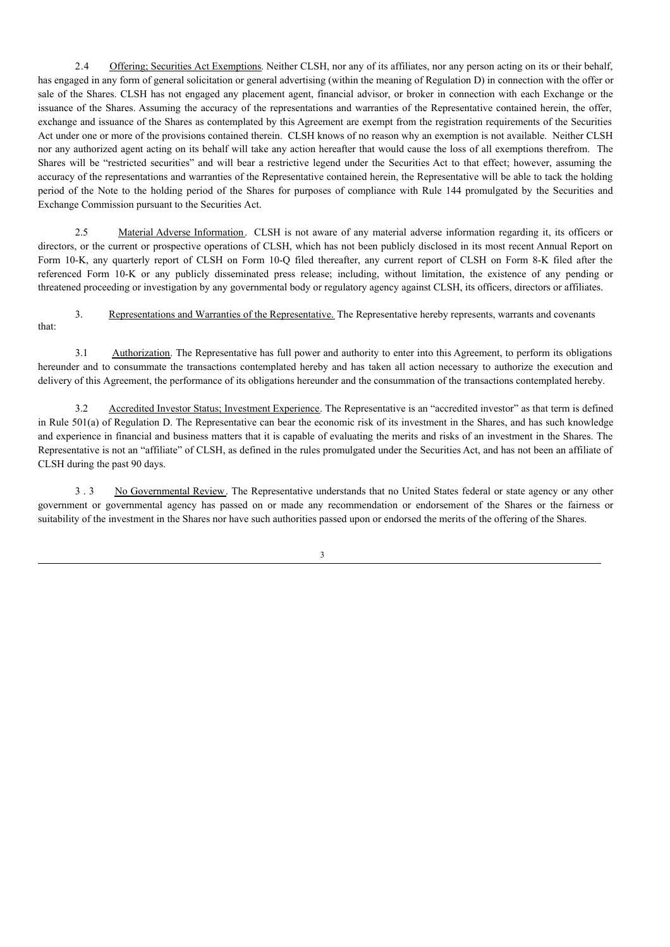2.4 Offering; Securities Act Exemptions. Neither CLSH, nor any of its affiliates, nor any person acting on its or their behalf, has engaged in any form of general solicitation or general advertising (within the meaning of Regulation D) in connection with the offer or sale of the Shares. CLSH has not engaged any placement agent, financial advisor, or broker in connection with each Exchange or the issuance of the Shares. Assuming the accuracy of the representations and warranties of the Representative contained herein, the offer, exchange and issuance of the Shares as contemplated by this Agreement are exempt from the registration requirements of the Securities Act under one or more of the provisions contained therein. CLSH knows of no reason why an exemption is not available. Neither CLSH nor any authorized agent acting on its behalf will take any action hereafter that would cause the loss of all exemptions therefrom. The Shares will be "restricted securities" and will bear a restrictive legend under the Securities Act to that effect; however, assuming the accuracy of the representations and warranties of the Representative contained herein, the Representative will be able to tack the holding period of the Note to the holding period of the Shares for purposes of compliance with Rule 144 promulgated by the Securities and Exchange Commission pursuant to the Securities Act.

2.5 Material Adverse Information. CLSH is not aware of any material adverse information regarding it, its officers or directors, or the current or prospective operations of CLSH, which has not been publicly disclosed in its most recent Annual Report on Form 10-K, any quarterly report of CLSH on Form 10-Q filed thereafter, any current report of CLSH on Form 8-K filed after the referenced Form 10-K or any publicly disseminated press release; including, without limitation, the existence of any pending or threatened proceeding or investigation by any governmental body or regulatory agency against CLSH, its officers, directors or affiliates.

3. Representations and Warranties of the Representative. The Representative hereby represents, warrants and covenants that:

3.1 Authorization. The Representative has full power and authority to enter into this Agreement, to perform its obligations hereunder and to consummate the transactions contemplated hereby and has taken all action necessary to authorize the execution and delivery of this Agreement, the performance of its obligations hereunder and the consummation of the transactions contemplated hereby.

3.2 Accredited Investor Status; Investment Experience. The Representative is an "accredited investor" as that term is defined in Rule 501(a) of Regulation D. The Representative can bear the economic risk of its investment in the Shares, and has such knowledge and experience in financial and business matters that it is capable of evaluating the merits and risks of an investment in the Shares. The Representative is not an "affiliate" of CLSH, as defined in the rules promulgated under the Securities Act, and has not been an affiliate of CLSH during the past 90 days.

3 . 3 No Governmental Review. The Representative understands that no United States federal or state agency or any other government or governmental agency has passed on or made any recommendation or endorsement of the Shares or the fairness or suitability of the investment in the Shares nor have such authorities passed upon or endorsed the merits of the offering of the Shares.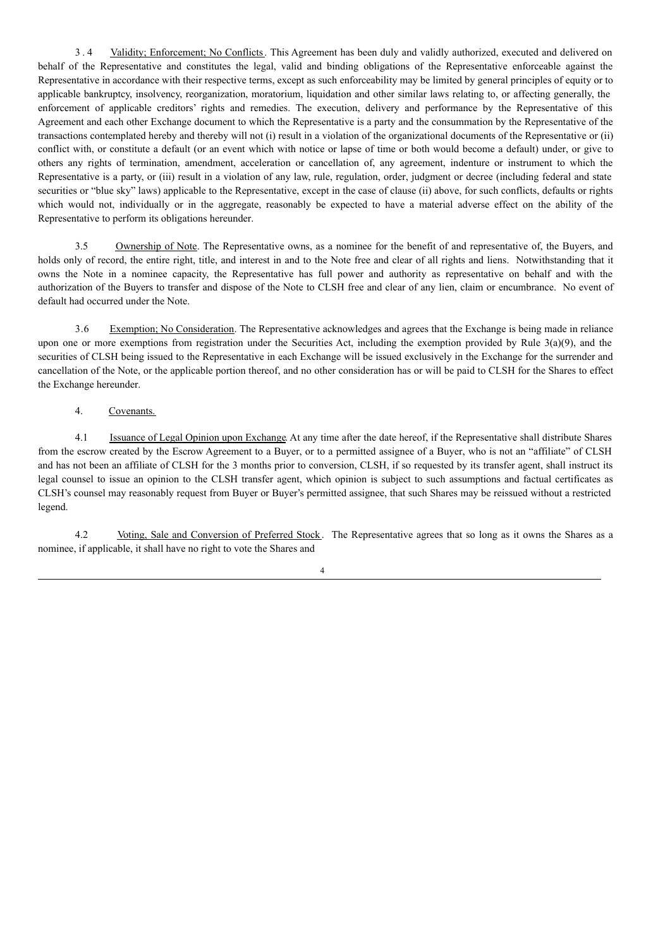3 . 4 Validity; Enforcement; No Conflicts. This Agreement has been duly and validly authorized, executed and delivered on behalf of the Representative and constitutes the legal, valid and binding obligations of the Representative enforceable against the Representative in accordance with their respective terms, except as such enforceability may be limited by general principles of equity or to applicable bankruptcy, insolvency, reorganization, moratorium, liquidation and other similar laws relating to, or affecting generally, the enforcement of applicable creditors' rights and remedies. The execution, delivery and performance by the Representative of this Agreement and each other Exchange document to which the Representative is a party and the consummation by the Representative of the transactions contemplated hereby and thereby will not (i) result in a violation of the organizational documents of the Representative or (ii) conflict with, or constitute a default (or an event which with notice or lapse of time or both would become a default) under, or give to others any rights of termination, amendment, acceleration or cancellation of, any agreement, indenture or instrument to which the Representative is a party, or (iii) result in a violation of any law, rule, regulation, order, judgment or decree (including federal and state securities or "blue sky" laws) applicable to the Representative, except in the case of clause (ii) above, for such conflicts, defaults or rights which would not, individually or in the aggregate, reasonably be expected to have a material adverse effect on the ability of the Representative to perform its obligations hereunder.

3.5 Ownership of Note. The Representative owns, as a nominee for the benefit of and representative of, the Buyers, and holds only of record, the entire right, title, and interest in and to the Note free and clear of all rights and liens. Notwithstanding that it owns the Note in a nominee capacity, the Representative has full power and authority as representative on behalf and with the authorization of the Buyers to transfer and dispose of the Note to CLSH free and clear of any lien, claim or encumbrance. No event of default had occurred under the Note.

3.6 Exemption; No Consideration. The Representative acknowledges and agrees that the Exchange is being made in reliance upon one or more exemptions from registration under the Securities Act, including the exemption provided by Rule  $3(a)(9)$ , and the securities of CLSH being issued to the Representative in each Exchange will be issued exclusively in the Exchange for the surrender and cancellation of the Note, or the applicable portion thereof, and no other consideration has or will be paid to CLSH for the Shares to effect the Exchange hereunder.

# 4. Covenants.

4.1 Issuance of Legal Opinion upon Exchange. At any time after the date hereof, if the Representative shall distribute Shares from the escrow created by the Escrow Agreement to a Buyer, or to a permitted assignee of a Buyer, who is not an "affiliate" of CLSH and has not been an affiliate of CLSH for the 3 months prior to conversion, CLSH, if so requested by its transfer agent, shall instruct its legal counsel to issue an opinion to the CLSH transfer agent, which opinion is subject to such assumptions and factual certificates as CLSH's counsel may reasonably request from Buyer or Buyer's permitted assignee, that such Shares may be reissued without a restricted legend.

4.2 Voting, Sale and Conversion of Preferred Stock. The Representative agrees that so long as it owns the Shares as a nominee, if applicable, it shall have no right to vote the Shares and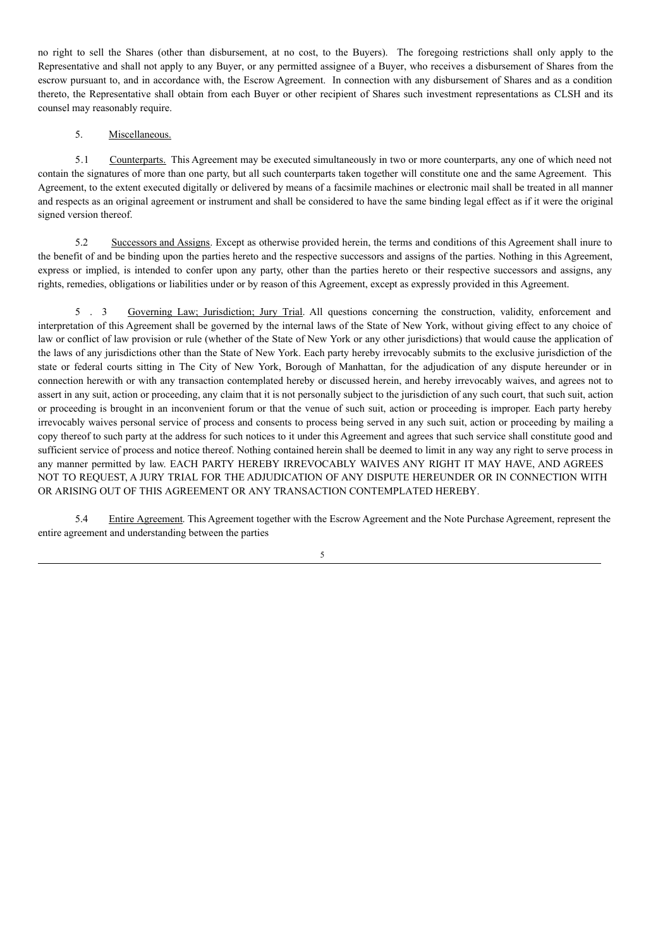no right to sell the Shares (other than disbursement, at no cost, to the Buyers). The foregoing restrictions shall only apply to the Representative and shall not apply to any Buyer, or any permitted assignee of a Buyer, who receives a disbursement of Shares from the escrow pursuant to, and in accordance with, the Escrow Agreement. In connection with any disbursement of Shares and as a condition thereto, the Representative shall obtain from each Buyer or other recipient of Shares such investment representations as CLSH and its counsel may reasonably require.

## 5. Miscellaneous.

5.1 Counterparts. This Agreement may be executed simultaneously in two or more counterparts, any one of which need not contain the signatures of more than one party, but all such counterparts taken together will constitute one and the same Agreement. This Agreement, to the extent executed digitally or delivered by means of a facsimile machines or electronic mail shall be treated in all manner and respects as an original agreement or instrument and shall be considered to have the same binding legal effect as if it were the original signed version thereof.

5.2 Successors and Assigns. Except as otherwise provided herein, the terms and conditions of this Agreement shall inure to the benefit of and be binding upon the parties hereto and the respective successors and assigns of the parties. Nothing in this Agreement, express or implied, is intended to confer upon any party, other than the parties hereto or their respective successors and assigns, any rights, remedies, obligations or liabilities under or by reason of this Agreement, except as expressly provided in this Agreement.

5 . 3 Governing Law; Jurisdiction; Jury Trial. All questions concerning the construction, validity, enforcement and interpretation of this Agreement shall be governed by the internal laws of the State of New York, without giving effect to any choice of law or conflict of law provision or rule (whether of the State of New York or any other jurisdictions) that would cause the application of the laws of any jurisdictions other than the State of New York. Each party hereby irrevocably submits to the exclusive jurisdiction of the state or federal courts sitting in The City of New York, Borough of Manhattan, for the adjudication of any dispute hereunder or in connection herewith or with any transaction contemplated hereby or discussed herein, and hereby irrevocably waives, and agrees not to assert in any suit, action or proceeding, any claim that it is not personally subject to the jurisdiction of any such court, that such suit, action or proceeding is brought in an inconvenient forum or that the venue of such suit, action or proceeding is improper. Each party hereby irrevocably waives personal service of process and consents to process being served in any such suit, action or proceeding by mailing a copy thereof to such party at the address for such notices to it under this Agreement and agrees that such service shall constitute good and sufficient service of process and notice thereof. Nothing contained herein shall be deemed to limit in any way any right to serve process in any manner permitted by law. EACH PARTY HEREBY IRREVOCABLY WAIVES ANY RIGHT IT MAY HAVE, AND AGREES NOT TO REQUEST, A JURY TRIAL FOR THE ADJUDICATION OF ANY DISPUTE HEREUNDER OR IN CONNECTION WITH OR ARISING OUT OF THIS AGREEMENT OR ANY TRANSACTION CONTEMPLATED HEREBY.

5.4 Entire Agreement. This Agreement together with the Escrow Agreement and the Note Purchase Agreement, represent the entire agreement and understanding between the parties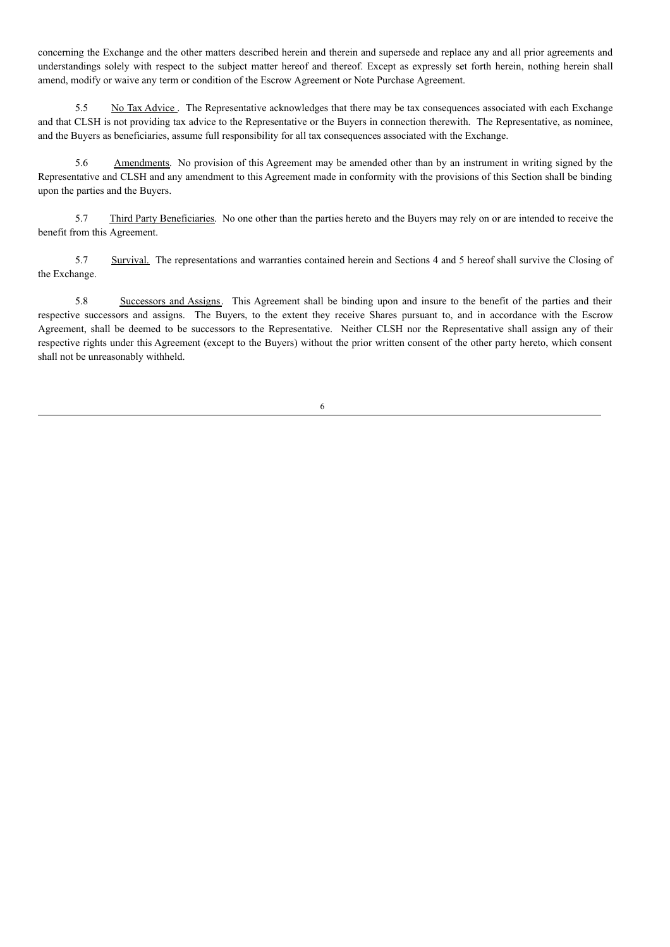concerning the Exchange and the other matters described herein and therein and supersede and replace any and all prior agreements and understandings solely with respect to the subject matter hereof and thereof. Except as expressly set forth herein, nothing herein shall amend, modify or waive any term or condition of the Escrow Agreement or Note Purchase Agreement.

5.5 No Tax Advice . The Representative acknowledges that there may be tax consequences associated with each Exchange and that CLSH is not providing tax advice to the Representative or the Buyers in connection therewith. The Representative, as nominee, and the Buyers as beneficiaries, assume full responsibility for all tax consequences associated with the Exchange.

5.6 Amendments. No provision of this Agreement may be amended other than by an instrument in writing signed by the Representative and CLSH and any amendment to this Agreement made in conformity with the provisions of this Section shall be binding upon the parties and the Buyers.

5.7 Third Party Beneficiaries. No one other than the parties hereto and the Buyers may rely on or are intended to receive the benefit from this Agreement.

5.7 Survival. The representations and warranties contained herein and Sections 4 and 5 hereof shall survive the Closing of the Exchange.

5.8 Successors and Assigns. This Agreement shall be binding upon and insure to the benefit of the parties and their respective successors and assigns. The Buyers, to the extent they receive Shares pursuant to, and in accordance with the Escrow Agreement, shall be deemed to be successors to the Representative. Neither CLSH nor the Representative shall assign any of their respective rights under this Agreement (except to the Buyers) without the prior written consent of the other party hereto, which consent shall not be unreasonably withheld.